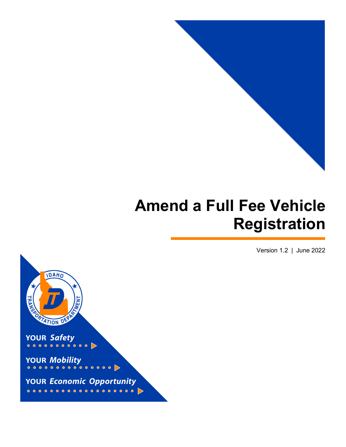

# **Amend a Full Fee Vehicle Registration**

Version 1.2 | June 2022

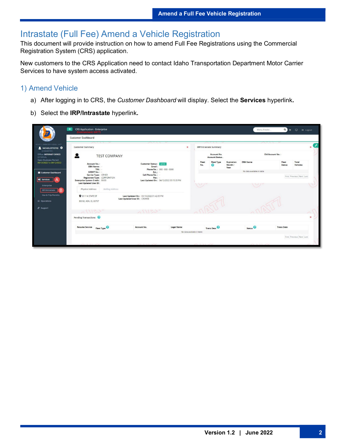## Intrastate (Full Fee) Amend a Vehicle Registration

This document will provide instruction on how to amend Full Fee Registrations using the Commercial Registration System (CRS) application.

New customers to the CRS Application need to contact Idaho Transportation Department Motor Carrier Services to have system access activated.

#### 1) Amend Vehicle

- a) After logging in to CRS, the *Customer Dashboard* will display. Select the **Services** hyperlink**.**
- b) Select the **IRP/Intrastate** hyperlink**.**

| $\equiv$                                                 | <b>CRS Application - Enterprise</b>                                                                                                                               |                                                                         |                   |                                               |                   |                               |                          | $Q =$<br>Menu Finder   | □ <sup>(+</sup> Logout   |
|----------------------------------------------------------|-------------------------------------------------------------------------------------------------------------------------------------------------------------------|-------------------------------------------------------------------------|-------------------|-----------------------------------------------|-------------------|-------------------------------|--------------------------|------------------------|--------------------------|
|                                                          | <b>Customer Dashboard</b>                                                                                                                                         |                                                                         |                   |                                               |                   |                               |                          |                        |                          |
| V2.5.27.1.139854 (03/11/2022)   UAT7                     |                                                                                                                                                                   |                                                                         |                   |                                               |                   |                               |                          |                        |                          |
| <b>2</b> NICHOLESTESTID <sup>3</sup><br>[ID650018]       | <b>Customer Summary</b>                                                                                                                                           |                                                                         |                   | $\mathbf{x}$<br><b>IRP/Intrastate Summary</b> |                   |                               |                          | $\mathbf{w}$           |                          |
| Office: INTERNET OFFICE<br>EXTERNAL                      | <b>TEST COMPANY</b>                                                                                                                                               |                                                                         |                   | Account No.<br>Account Status.                |                   | Old Account No.:              |                          |                        |                          |
| <b>Open Business Period:</b><br>04/12/2022 To 04/12/2022 | Account No.:<br>DBA Name: -                                                                                                                                       | Customer Status : AGTIVE<br>Email:                                      |                   | Fleet<br>No.                                  | <b>Fleet Type</b> | Expiration<br>Month /<br>Year | <b>DBA</b> Name          | Fleet<br><b>Status</b> | Total<br>Vehicles        |
| <b>El</b> Customer Dashboard                             | TIN:<br>Phone No.: 000 - 000 - 0000<br>USDOT No.: -<br>Ext.: -                                                                                                    |                                                                         |                   | No data available in table                    |                   |                               |                          |                        |                          |
|                                                          | Carrier Type: OTHER<br>Cell Phone No.: -<br>Registrant Type: CORPORATION<br>Fax: -<br>Last Updated On: 04/12/2022 03:15:33 PM<br>Enterprise System Credit: \$0.00 |                                                                         |                   |                                               |                   |                               |                          |                        | First Previous Next Last |
| <b>Q</b> Services                                        |                                                                                                                                                                   |                                                                         |                   |                                               |                   |                               |                          |                        |                          |
| Enterprise                                               | Last Updated User ID:                                                                                                                                             |                                                                         |                   | $\setminus \cup$                              |                   |                               | w                        |                        |                          |
| в<br><b>IRP/Intrastate</b>                               | Mailing Address<br>Physical Address                                                                                                                               |                                                                         |                   |                                               |                   |                               |                          |                        |                          |
| Haz & Trip Permits                                       | <b>Q</b> 3311 W STATE ST                                                                                                                                          | Last Updated On: 03/10/2022 01:42:05 PM<br>Last Updated User ID: CRSWEB |                   |                                               |                   |                               |                          |                        |                          |
| <b>三</b> Operations                                      | BOISE, ADA, ID, 83707                                                                                                                                             |                                                                         |                   |                                               |                   |                               |                          |                        |                          |
| & Support                                                |                                                                                                                                                                   |                                                                         |                   |                                               |                   |                               |                          |                        |                          |
|                                                          | 51123                                                                                                                                                             |                                                                         |                   |                                               |                   |                               |                          |                        |                          |
|                                                          | Pending Transactions                                                                                                                                              |                                                                         |                   |                                               |                   |                               |                          | ×                      |                          |
|                                                          | Resume Service Fleet Type                                                                                                                                         | Account No.                                                             | <b>Legal Name</b> |                                               | Trans Desc        |                               | Status <sup>0</sup>      | <b>Trans Date</b>      |                          |
|                                                          |                                                                                                                                                                   |                                                                         |                   | No data available in table                    |                   |                               |                          |                        |                          |
|                                                          |                                                                                                                                                                   |                                                                         |                   |                                               |                   |                               | First Previous Next Last |                        |                          |
|                                                          | and the company of the company of the com-                                                                                                                        | the first control to the control of the con-                            |                   | the control of the control of the con-        |                   |                               |                          |                        |                          |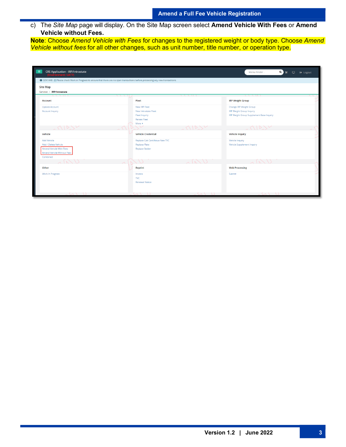c) The *Site Map* page will display. On the Site Map screen select **Amend Vehicle With Fees** or **Amend Vehicle without Fees.**

**Note**: Choose *Amend Vehicle with Fees* for changes to the registered weight or body type. Choose *Amend Vehicle without fees* for all other changes, such as unit number, title number, or operation type.

| <b>CRS Application - IRP/Intrastate</b><br>÷≣ i<br>Environment: UAT7)                                                                      |                                     | Menu Finder<br>Q<br>▭<br><b>← Logout</b> |
|--------------------------------------------------------------------------------------------------------------------------------------------|-------------------------------------|------------------------------------------|
| <b>O</b> GEN1448 : [I] Please check Work in Progress to ensure that there are no open transactions before processing any new transactions. |                                     |                                          |
| <b>Site Map</b>                                                                                                                            |                                     |                                          |
| Services / IRP/Intrastate                                                                                                                  |                                     |                                          |
| $\sqrt{7}$ / 11 1<br>$\sqrt{111}$                                                                                                          |                                     | \\\\\\ <b>\</b>                          |
| <b>Account</b>                                                                                                                             | Fleet                               | <b>IRP Weight Group</b>                  |
| <b>Update Account</b>                                                                                                                      | New IRP Fleet                       | Change IRP Weight Group                  |
| <b>Account Inquiry</b>                                                                                                                     | New Intrastate Fleet                | <b>IRP Weight Group Inquiry</b>          |
|                                                                                                                                            | <b>Fleet Inquiry</b>                | IRP Weight Group Supplement Base Inquiry |
|                                                                                                                                            | <b>Renew Fleet</b>                  |                                          |
|                                                                                                                                            | More $\blacktriangleright$          |                                          |
| ノーレン                                                                                                                                       |                                     |                                          |
| Vehicle                                                                                                                                    | <b>Vehicle Credential</b>           | <b>Vehicle Inquiry</b>                   |
| <b>Add Vehicle</b>                                                                                                                         | Replace Cab Card/Issue New TVC      | Vehicle Inquiry                          |
| Add / Delete Vehicle                                                                                                                       | <b>Replace Plate</b>                | <b>Vehicle Supplement Inquiry</b>        |
| Amend Vehicle With Fees                                                                                                                    | <b>Replace Sticker</b>              |                                          |
| Amend Vehicle Without Fees                                                                                                                 |                                     |                                          |
| Combined                                                                                                                                   |                                     |                                          |
|                                                                                                                                            |                                     |                                          |
| Other                                                                                                                                      | Reprint                             | <b>Web Processing</b>                    |
| <b>Work In Progress</b>                                                                                                                    | Invoice                             | Submit                                   |
|                                                                                                                                            | <b>TVC</b>                          |                                          |
|                                                                                                                                            | <b>Renewal Notice</b>               |                                          |
|                                                                                                                                            |                                     |                                          |
| $\sim$ $\sqrt{1}$                                                                                                                          | (1)<br>$\{ \wedge \wedge \wedge \}$ |                                          |
|                                                                                                                                            |                                     |                                          |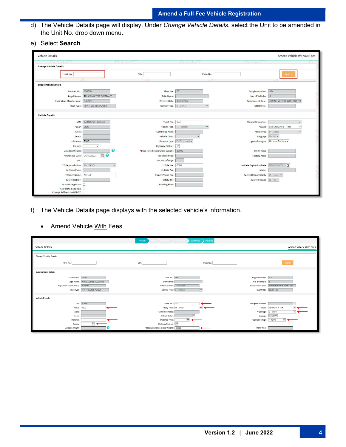- d) The Vehicle Details page will display. Under *Change Vehicle Details*, select the Unit to be amended in the Unit No. drop down menu.
- e) Select **Search**.

| <b>Vehicle Details</b>                          |                              |              |                                  |                             |              |                                    |                                      | <b>Amend Vehicle Without Fees</b> |
|-------------------------------------------------|------------------------------|--------------|----------------------------------|-----------------------------|--------------|------------------------------------|--------------------------------------|-----------------------------------|
|                                                 |                              | (1117)       |                                  | $\sim$ $\sim$ $\sim$ $\sim$ |              |                                    |                                      |                                   |
| <b>Change Vehicle Details</b>                   |                              |              |                                  |                             |              |                                    |                                      |                                   |
| Unit No.:                                       |                              | VIN:         |                                  |                             | Plate No.:   |                                    | Search                               |                                   |
|                                                 |                              |              |                                  |                             |              |                                    |                                      |                                   |
| <b>Supplements Details</b>                      |                              |              |                                  |                             |              |                                    |                                      |                                   |
| Account No.:                                    | 650018                       |              | Fleet No.:                       | 001                         |              | Supplement No.: 004                |                                      |                                   |
| Legal Name:                                     | <b>TRUCKING TEST COMPANY</b> |              | <b>DBA Name</b>                  |                             |              | No. of Vehicles:                   | $\overline{0}$                       |                                   |
| <b>Expiration Month / Year</b>                  | 03/2023                      |              | <b>Effective Date:</b>           | 06/13/2022                  |              | <b>Supplement Desc.:</b>           | AMEND VEHICLE WITHOUT FEE            |                                   |
| Fleet Type:                                     | FFP - FULL FEE POWER         |              | Carrier Type: 0 - OTHER          |                             | $\checkmark$ | <b>USDOT No.</b>                   |                                      |                                   |
|                                                 |                              |              |                                  |                             |              |                                    |                                      |                                   |
| <b>Vehicle Details</b>                          |                              |              |                                  |                             |              |                                    |                                      |                                   |
| VIN                                             | 12345678912345679            |              | *Unit No.: 002                   |                             |              | Weight Group No.                   |                                      | $\checkmark$                      |
| *Year                                           | 2022                         |              | *Body Type:                      | TR - Tractor                | $\checkmark$ | *Make:                             | <b>FREIGHTLINER - FRHT</b>           | $\check{~}$                       |
| Axles                                           |                              |              | <b>Combined Axles</b>            |                             |              | *Fuel Type: D - Diesel             |                                      | $\overline{\mathbf{v}}$           |
| Seats                                           |                              |              | <b>Vehicle Color</b>             | $\checkmark$                |              |                                    | Luggage: N - NO V                    |                                   |
| Distance:                                       | 7500                         |              | Distance Type: E - Estimated v   |                             |              |                                    | *Operation Type: H - Haul for Hire v |                                   |
| County                                          | $\check{~}$                  |              | Highway District: V              |                             |              |                                    |                                      |                                   |
| <b>Unladen Weight</b>                           |                              | ℯ            | *Base Jurisdiction Gross Weight: | 80000                       |              | <b>MSRP</b> Price                  |                                      |                                   |
| *Purchase Date: 04/18/2022                      | e o                          |              | <b>Purchase Price:</b>           |                             |              | <b>Factory Price:</b>              |                                      |                                   |
| TVC:                                            |                              |              | TVC No. of Days:                 |                             |              |                                    |                                      |                                   |
| *Title Jurisdiction:                            | ID-IDAHO                     | $\checkmark$ | *Title No.:                      | 0000                        |              | In-State Expiration Date:          | MM/DD/YYYY 自                         |                                   |
| <b>In-State Plate</b>                           |                              |              | In-State Fee                     |                             |              | Model                              |                                      |                                   |
| *Owner Name:                                    | N TEST                       |              | Owner Phone No.                  |                             |              | Safety Responsibility: O - Owner v |                                      |                                   |
| Safety USDOT:                                   |                              |              | Safety TIN                       |                             |              | Safety Change: N - NO V            |                                      |                                   |
| Use Existing Plate:                             |                              |              | <b>Existing Plate:</b>           |                             |              |                                    |                                      |                                   |
| New Plate Required:<br>Change Address on USDOT: |                              |              |                                  |                             |              |                                    |                                      |                                   |

- f) The Vehicle Details page displays with the selected vehicle's information.
	- Amend Vehicle With Fees

|                               |                                  | vehicle                                | MainMenu                 | Inquiries                 |                                  |
|-------------------------------|----------------------------------|----------------------------------------|--------------------------|---------------------------|----------------------------------|
| Vehicle Details               |                                  |                                        |                          |                           | Amend Vehicle With Fees          |
|                               |                                  |                                        |                          |                           |                                  |
| <b>Change Vehicle Details</b> |                                  |                                        |                          |                           |                                  |
| Unit No.:                     |                                  | VIN:                                   |                          | Plate No.                 | Search                           |
| <b>Supplements Details</b>    |                                  |                                        |                          |                           |                                  |
| Account No.: 99999            |                                  | Fleet No.: 001                         |                          | Supplement No.: 020       |                                  |
| Legal Name:                   | NO ACCOUNT ACCOUNTS              | DBA Name:                              |                          | No. of Vehicles: 0        |                                  |
| Expiration Month / Year       | 12/2019                          | <b>Effective Date:</b>                 | 11/20/2019               | Supplement Desc.:         | AMEND VEHICLE WITH FEES          |
|                               | Fleet Type: FFP - FULL FEE POWER | Carrier Type: C - CARRIER              | $\vee$                   | USDOT No.:                | 007654321                        |
|                               |                                  |                                        |                          |                           |                                  |
| <b>Vehicle Details</b>        |                                  |                                        |                          |                           |                                  |
| VIN:                          | 128351                           | *Unit No.: 51                          |                          | Weight Group No.:         | $\vee$                           |
| *Year                         | 1972                             | *Body Type: TK - Truck                 | $\vert \mathsf{v} \vert$ | *Make:                    | <b>KENWORTH - KW</b>             |
| Axles                         |                                  | <b>Combined Axles</b>                  |                          |                           | *Fuel Type: D - Diesel<br>$\vee$ |
| Seats:                        |                                  | Vehicle Color                          | $\overline{\mathbf{v}}$  |                           | Luggage: N · NO V                |
| Distance:                     |                                  | Distance Type:                         | $\overline{\mathbf{v}}$  | *Operation Type: F - Farm | $\checkmark$                     |
| County:                       | ▽←                               | Highway District: V                    |                          |                           |                                  |
| Unladen Weight:               |                                  | *Base Jurisdiction Gross Weight: 40000 |                          | <b>MSRP Price:</b>        |                                  |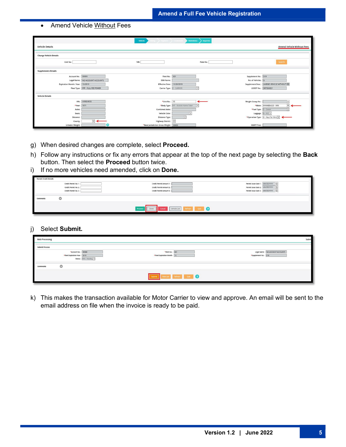#### • Amend Vehicle Without Fees

|                                   |                                             | Vehicle                                                     | <b>MainMenu</b><br>$nr \rightarrow circ$     | <b>Inquiries</b>                          |                                               |
|-----------------------------------|---------------------------------------------|-------------------------------------------------------------|----------------------------------------------|-------------------------------------------|-----------------------------------------------|
| <b>Vehicle Details</b>            |                                             |                                                             |                                              |                                           | Amend Vehicle Without Fees                    |
| <b>Change Vehicle Details</b>     |                                             |                                                             |                                              |                                           |                                               |
| Unit No.:                         |                                             | VIN:                                                        | Plate No.                                    |                                           | Search                                        |
| <b>Supplements Details</b>        |                                             |                                                             |                                              |                                           |                                               |
| Account No.: 99999<br>Legal Name: | NO ACCOUNT ACCOUNTS                         | Fleet No.: 001<br>DBA Name:                                 |                                              | Supplement No.: 019<br>No. of Vehicles: 0 |                                               |
| <b>Expiration Month / Year</b>    | 12/2019<br>Fleet Type: FFP - FULL FEE POWER | Effective Date: 11/20/2019<br>Carrier Type: C - CARRIER     | $\overline{\vee}$                            | Supplement Desc.:<br>USDOT No.: 007654321 | AMEND VEHICLE WITHOUT FEE                     |
| <b>Vehicle Details</b>            |                                             |                                                             |                                              |                                           |                                               |
|                                   | VIN: VVR654555                              | *Unit No.: 55                                               |                                              | Weight Group No.                          | $\vee$                                        |
| *Year:                            | 1971                                        |                                                             | *Body Type: MT - Mobile Home Toter<br>$\vee$ | *Make:                                    | $\check{}$<br>WINNEBAGO - WIN<br>$\leftarrow$ |
| Axles                             |                                             | <b>Combined Axles</b>                                       |                                              | *Fuel Type:                               | D - Diesel<br>$\vert \vee \vert$              |
| Seats                             |                                             | Vehicle Color:                                              | $\vee$                                       | Luggage:                                  | $N \cdot NO$                                  |
| <b>Distance</b>                   |                                             | Distance Type:                                              | $\overline{\vee}$                            |                                           | *Operation Type: H - Haul for Hire V          |
| County<br><b>Unladen Weight:</b>  | $\leq$                                      | Highway District:<br>*Base Jurisdiction Gross Weight: 30000 |                                              | <b>MSRP Price:</b>                        |                                               |

- g) When desired changes are complete, select **Proceed.**
- h) Follow any instructions or fix any errors that appear at the top of the next page by selecting the **Back** button. Then select the **Proceed** button twice.
- i) If no more vehicles need amended, click on **Done.**

| <b>Permit Credit Details</b> |                                                                      |                                                                                        |                                                                                                           |
|------------------------------|----------------------------------------------------------------------|----------------------------------------------------------------------------------------|-----------------------------------------------------------------------------------------------------------|
|                              | Credit Permit No. 1:<br>Credit Permit No. 2:<br>Credit Permit No. 3: | Credit Permit Amount 1:<br>Credit Permit Amount 2:<br>Credit Permit Amount 3:          | Permit Issue Date 1: MM/DD/YYYY [<br>Permit Issue Date 2: MM/DD/YYYY<br>Permit Issue Date 3: MM/DD/YYYY [ |
| Comments                     | o                                                                    |                                                                                        |                                                                                                           |
|                              |                                                                      | Vehicle List<br>Refresh Quit<br><b>Cancel</b><br>Proceed<br>$\frac{1}{2}$<br>Done<br>ш |                                                                                                           |

j) Select **Submit.**

| <b>Web Processing</b> |                                                                              |                                                | Subm                                                    |
|-----------------------|------------------------------------------------------------------------------|------------------------------------------------|---------------------------------------------------------|
| <b>Submit Process</b> |                                                                              |                                                |                                                         |
|                       | *Account No.: 99999<br>*Fleet Expiration Year: 2019<br>Status: PEN - Pending | *Fleet No.: 001<br>*Fleet Expiration Month: 12 | Legal Name: NO ACCOUNT ACCOUNTS<br>*Supplement No.: 016 |
| <b>Comments</b>       | $\circ$                                                                      |                                                |                                                         |
|                       |                                                                              | Submit: View List Refresh Quit Q               |                                                         |

k) This makes the transaction available for Motor Carrier to view and approve. An email will be sent to the email address on file when the invoice is ready to be paid.